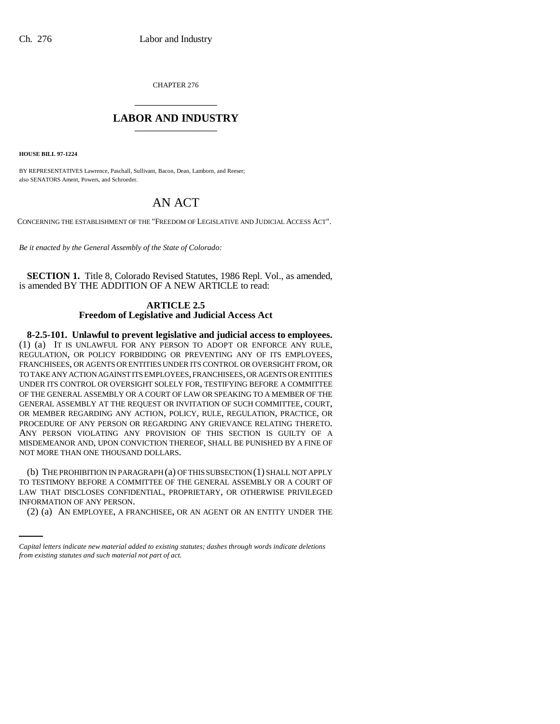CHAPTER 276 \_\_\_\_\_\_\_\_\_\_\_\_\_\_\_

## **LABOR AND INDUSTRY** \_\_\_\_\_\_\_\_\_\_\_\_\_\_\_

**HOUSE BILL 97-1224**

BY REPRESENTATIVES Lawrence, Paschall, Sullivant, Bacon, Dean, Lamborn, and Reeser; also SENATORS Ament, Powers, and Schroeder.

## AN ACT

CONCERNING THE ESTABLISHMENT OF THE "FREEDOM OF LEGISLATIVE AND JUDICIAL ACCESS ACT".

*Be it enacted by the General Assembly of the State of Colorado:*

**SECTION 1.** Title 8, Colorado Revised Statutes, 1986 Repl. Vol., as amended, is amended BY THE ADDITION OF A NEW ARTICLE to read:

## **ARTICLE 2.5 Freedom of Legislative and Judicial Access Act**

**8-2.5-101. Unlawful to prevent legislative and judicial access to employees.** (1) (a) IT IS UNLAWFUL FOR ANY PERSON TO ADOPT OR ENFORCE ANY RULE, REGULATION, OR POLICY FORBIDDING OR PREVENTING ANY OF ITS EMPLOYEES, FRANCHISEES, OR AGENTS OR ENTITIES UNDER ITS CONTROL OR OVERSIGHT FROM, OR TO TAKE ANY ACTION AGAINST ITS EMPLOYEES, FRANCHISEES, OR AGENTS OR ENTITIES UNDER ITS CONTROL OR OVERSIGHT SOLELY FOR, TESTIFYING BEFORE A COMMITTEE OF THE GENERAL ASSEMBLY OR A COURT OF LAW OR SPEAKING TO A MEMBER OF THE GENERAL ASSEMBLY AT THE REQUEST OR INVITATION OF SUCH COMMITTEE, COURT, OR MEMBER REGARDING ANY ACTION, POLICY, RULE, REGULATION, PRACTICE, OR PROCEDURE OF ANY PERSON OR REGARDING ANY GRIEVANCE RELATING THERETO. ANY PERSON VIOLATING ANY PROVISION OF THIS SECTION IS GUILTY OF A MISDEMEANOR AND, UPON CONVICTION THEREOF, SHALL BE PUNISHED BY A FINE OF NOT MORE THAN ONE THOUSAND DOLLARS.

LAW THAT DISCLOSES CONFIDENTIAL, PROPRIETARY, OR OTHERWISE PRIVILEGED (b) THE PROHIBITION IN PARAGRAPH (a) OF THIS SUBSECTION (1) SHALL NOT APPLY TO TESTIMONY BEFORE A COMMITTEE OF THE GENERAL ASSEMBLY OR A COURT OF INFORMATION OF ANY PERSON.

(2) (a) AN EMPLOYEE, A FRANCHISEE, OR AN AGENT OR AN ENTITY UNDER THE

*Capital letters indicate new material added to existing statutes; dashes through words indicate deletions from existing statutes and such material not part of act.*